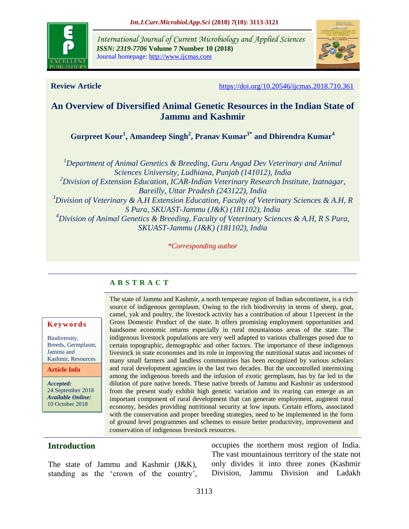

*International Journal of Current Microbiology and Applied Sciences ISSN: 2319-7706* **Volume 7 Number 10 (2018)**  Journal homepage: http://www.ijcmas.com



**Review Article** <https://doi.org/10.20546/ijcmas.2018.710.361>

# **An Overview of Diversified Animal Genetic Resources in the Indian State of Jammu and Kashmir**

**Gurpreet Kour<sup>1</sup> , Amandeep Singh<sup>2</sup> , Pranav Kumar3\* and Dhirendra Kumar<sup>4</sup>**

*<sup>1</sup>Department of Animal Genetics & Breeding, Guru Angad Dev Veterinary and Animal Sciences University, Ludhiana, Punjab (141012), India <sup>2</sup>Division of Extension Education, ICAR-Indian Veterinary Research Institute, Izatnagar, Bareilly, Uttar Pradesh (243122), India <sup>3</sup>Division of Veterinary & A.H Extension Education, Faculty of Veterinary Sciences & A.H, R S Pura, SKUAST-Jammu (J&K) (181102), India <sup>4</sup>Division of Animal Genetics & Breeding, Faculty of Veterinary Sciences & A.H, R S Pura, SKUAST-Jammu (J&K) (181102), India*

*\*Corresponding author*

# **A B S T R A C T**

#### **K e y w o r d s**

Biodiversity, Breeds, Germplasm, Jammu and Kashmir, Resources

**Article Info**

*Accepted:*  24 September 2018 *Available Online:* 10 October 2018

The state of Jammu and Kashmir, a north temperate region of Indian subcontinent, is a rich source of indigenous germplasm. Owing to the rich biodiversity in terms of sheep, goat, camel, yak and poultry, the livestock activity has a contribution of about 11percent in the Gross Domestic Product of the state. It offers promising employment opportunities and handsome economic returns especially in rural mountainous areas of the state. The indigenous livestock populations are very well adapted to various challenges posed due to certain topographic, demographic and other factors. The importance of these indigenous livestock in state economies and its role in improving the nutritional status and incomes of many small farmers and landless communities has been recognized by various scholars and rural development agencies in the last two decades. But the uncontrolled intermixing among the indigenous breeds and the infusion of exotic germplasm, has by far led to the dilution of pure native breeds. These native breeds of Jammu and Kashmir as understood from the present study exhibit high genetic variation and its rearing can emerge as an important component of rural development that can generate employment, augment rural economy, besides providing nutritional security at low inputs. Certain efforts, associated with the conservation and proper breeding strategies, need to be implemented in the form of ground level programmes and schemes to ensure better productivity, improvement and conservation of indigenous livestock resources.

## **Introduction**

The state of Jammu and Kashmir (J&K), standing as the 'crown of the country', occupies the northern most region of India. The vast mountainous territory of the state not only divides it into three zones (Kashmir Division, Jammu Division and Ladakh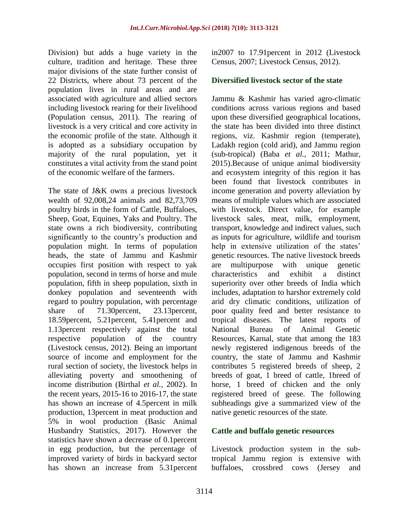Division) but adds a huge variety in the culture, tradition and heritage. These three major divisions of the state further consist of 22 Districts, where about 73 percent of the population lives in rural areas and are associated with agriculture and allied sectors including livestock rearing for their livelihood (Population census, 2011). The rearing of livestock is a very critical and core activity in the economic profile of the state. Although it is adopted as a subsidiary occupation by majority of the rural population, yet it constitutes a vital activity from the stand point of the economic welfare of the farmers.

The state of J&K owns a precious livestock wealth of 92,008,24 animals and 82,73,709 poultry birds in the form of Cattle, Buffaloes, Sheep, Goat, Equines, Yaks and Poultry. The state owns a rich biodiversity, contributing significantly to the country's production and population might. In terms of population heads, the state of Jammu and Kashmir occupies first position with respect to yak population, second in terms of horse and mule population, fifth in sheep population, sixth in donkey population and seventeenth with regard to poultry population, with percentage share of 71.30 percent, 23.13 percent, 18.59percent, 5.21percent, 5.41percent and 1.13percent respectively against the total respective population of the country (Livestock census, 2012). Being an important source of income and employment for the rural section of society, the livestock helps in alleviating poverty and smoothening of income distribution (Birthal *et al.,* 2002). In the recent years, 2015-16 to 2016-17, the state has shown an increase of 4.5percent in milk production, 13percent in meat production and 5% in wool production (Basic Animal Husbandry Statistics, 2017). However the statistics have shown a decrease of 0.1percent in egg production, but the percentage of improved variety of birds in backyard sector has shown an increase from 5.31percent in2007 to 17.91percent in 2012 (Livestock Census, 2007; Livestock Census, 2012).

## **Diversified livestock sector of the state**

Jammu & Kashmir has varied agro-climatic conditions across various regions and based upon these diversified geographical locations, the state has been divided into three distinct regions, viz. Kashmir region (temperate), Ladakh region (cold arid), and Jammu region (sub-tropical) (Baba *et al.,* 2011; Mathur, 2015).Because of unique animal biodiversity and ecosystem integrity of this region it has been found that livestock contributes in income generation and poverty alleviation by means of multiple values which are associated with livestock. Direct value, for example livestock sales, meat, milk, employment, transport, knowledge and indirect values, such as inputs for agriculture, wildlife and tourism help in extensive utilization of the states' genetic resources. The native livestock breeds are multipurpose with unique genetic characteristics and exhibit a distinct superiority over other breeds of India which includes, adaptation to harshor extremely cold arid dry climatic conditions, utilization of poor quality feed and better resistance to tropical diseases. The latest reports of National Bureau of Animal Genetic Resources, Karnal, state that among the 183 newly registered indigenous breeds of the country, the state of Jammu and Kashmir contributes 5 registered breeds of sheep, 2 breeds of goat, 1 breed of cattle, 1breed of horse, 1 breed of chicken and the only registered breed of geese. The following subheadings give a summarized view of the native genetic resources of the state.

## **Cattle and buffalo genetic resources**

Livestock production system in the subtropical Jammu region is extensive with buffaloes, crossbred cows (Jersey and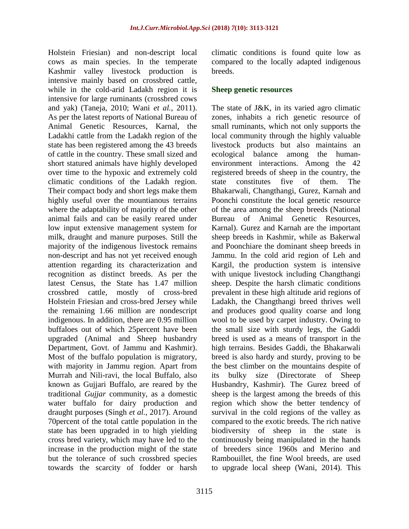Holstein Friesian) and non-descript local cows as main species. In the temperate Kashmir valley livestock production is intensive mainly based on crossbred cattle, while in the cold-arid Ladakh region it is intensive for large ruminants (crossbred cows and yak) (Taneja, 2010; Wani *et al.,* 2011). As per the latest reports of National Bureau of Animal Genetic Resources, Karnal, the Ladakhi cattle from the Ladakh region of the state has been registered among the 43 breeds of cattle in the country. These small sized and short statured animals have highly developed over time to the hypoxic and extremely cold climatic conditions of the Ladakh region. Their compact body and short legs make them highly useful over the mountianous terrains where the adaptability of majority of the other animal fails and can be easily reared under low input extensive management system for milk, draught and manure purposes. Still the majority of the indigenous livestock remains non-descript and has not yet received enough attention regarding its characterization and recognition as distinct breeds. As per the latest Census, the State has 1.47 million crossbred cattle, mostly of cross-bred Holstein Friesian and cross-bred Jersey while the remaining 1.66 million are nondescript indigenous. In addition, there are 0.95 million buffaloes out of which 25percent have been upgraded (Animal and Sheep husbandry Department, Govt. of Jammu and Kashmir). Most of the buffalo population is migratory, with majority in Jammu region. Apart from Murrah and Nili-ravi, the local Buffalo, also known as Gujjari Buffalo, are reared by the traditional *Gujjar* community, as a domestic water buffalo for dairy production and draught purposes (Singh *et al.,* 2017). Around 70percent of the total cattle population in the state has been upgraded in to high yielding cross bred variety, which may have led to the increase in the production might of the state but the tolerance of such crossbred species towards the scarcity of fodder or harsh climatic conditions is found quite low as compared to the locally adapted indigenous breeds.

#### **Sheep genetic resources**

The state of J&K, in its varied agro climatic zones, inhabits a rich genetic resource of small ruminants, which not only supports the local community through the highly valuable livestock products but also maintains an ecological balance among the humanenvironment interactions. Among the 42 registered breeds of sheep in the country, the state constitutes five of them. The Bhakarwali, Changthangi, Gurez, Karnah and Poonchi constitute the local genetic resource of the area among the sheep breeds (National Bureau of Animal Genetic Resources, Karnal). Gurez and Karnah are the important sheep breeds in Kashmir, while as Bakerwal and Poonchiare the dominant sheep breeds in Jammu. In the cold arid region of Leh and Kargil, the production system is intensive with unique livestock including Changthangi sheep. Despite the harsh climatic conditions prevalent in these high altitude arid regions of Ladakh, the Changthangi breed thrives well and produces good quality coarse and long wool to be used by carpet industry. Owing to the small size with sturdy legs, the Gaddi breed is used as a means of transport in the high terrains. Besides Gaddi, the Bhakarwali breed is also hardy and sturdy, proving to be the best climber on the mountains despite of its bulky size (Directorate of Sheep Husbandry, Kashmir). The Gurez breed of sheep is the largest among the breeds of this region which show the better tendency of survival in the cold regions of the valley as compared to the exotic breeds. The rich native biodiversity of sheep in the state is continuously being manipulated in the hands of breeders since 1960s and Merino and Rambouillet, the fine Wool breeds, are used to upgrade local sheep (Wani, 2014). This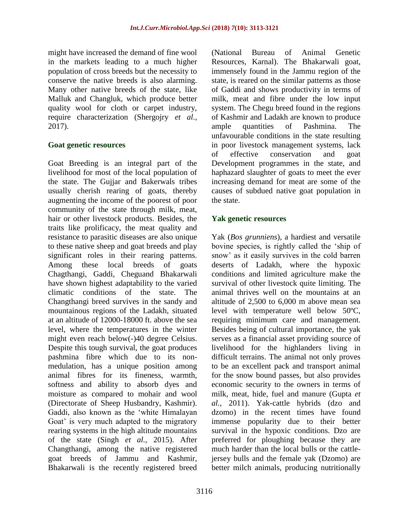might have increased the demand of fine wool in the markets leading to a much higher population of cross breeds but the necessity to conserve the native breeds is also alarming. Many other native breeds of the state, like Malluk and Changluk, which produce better quality wool for cloth or carpet industry, require characterization (Shergojry *et al.,* 2017).

#### **Goat genetic resources**

Goat Breeding is an integral part of the livelihood for most of the local population of the state. The Gujjar and Bakerwals tribes usually cherish rearing of goats, thereby augmenting the income of the poorest of poor community of the state through milk, meat, hair or other livestock products. Besides, the traits like prolificacy, the meat quality and resistance to parasitic diseases are also unique to these native sheep and goat breeds and play significant roles in their rearing patterns. Among these local breeds of goats Chagthangi, Gaddi, Cheguand Bhakarwali have shown highest adaptability to the varied climatic conditions of the state. The Changthangi breed survives in the sandy and mountainous regions of the Ladakh, situated at an altitude of 12000-18000 ft. above the sea level, where the temperatures in the winter might even reach below(-)40 degree Celsius. Despite this tough survival, the goat produces pashmina fibre which due to its nonmedulation, has a unique position among animal fibres for its fineness, warmth, softness and ability to absorb dyes and moisture as compared to mohair and wool (Directorate of Sheep Husbandry, Kashmir). Gaddi, also known as the 'white Himalayan Goat' is very much adapted to the migratory rearing systems in the high altitude mountains of the state (Singh *et al.,* 2015). After Changthangi, among the native registered goat breeds of Jammu and Kashmir, Bhakarwali is the recently registered breed

(National Bureau of Animal Genetic Resources, Karnal). The Bhakarwali goat, immensely found in the Jammu region of the state, is reared on the similar patterns as those of Gaddi and shows productivity in terms of milk, meat and fibre under the low input system. The Chegu breed found in the regions of Kashmir and Ladakh are known to produce ample quantities of Pashmina. The unfavourable conditions in the state resulting in poor livestock management systems, lack of effective conservation and goat Development programmes in the state, and haphazard slaughter of goats to meet the ever increasing demand for meat are some of the causes of subdued native goat population in the state.

#### **Yak genetic resources**

Yak (*Bos grunniens*), a hardiest and versatile bovine species, is rightly called the 'ship of snow' as it easily survives in the cold barren deserts of Ladakh, where the hypoxic conditions and limited agriculture make the survival of other livestock quite limiting. The animal thrives well on the mountains at an altitude of 2,500 to 6,000 m above mean sea level with temperature well below 50ºC, requiring minimum care and management. Besides being of cultural importance, the yak serves as a financial asset providing source of livelihood for the highlanders living in difficult terrains. The animal not only proves to be an excellent pack and transport animal for the snow bound passes, but also provides economic security to the owners in terms of milk, meat, hide, fuel and manure (Gupta *et al.,* 2011). Yak-cattle hybrids (dzo and dzomo) in the recent times have found immense popularity due to their better survival in the hypoxic conditions. Dzo are preferred for ploughing because they are much harder than the local bulls or the cattlejersey bulls and the female yak (Dzomo) are better milch animals, producing nutritionally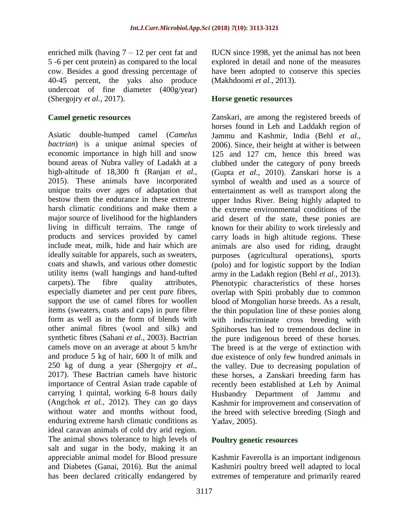enriched milk (having 7 – 12 per cent fat and 5 -6 per cent protein) as compared to the local cow. Besides a good dressing percentage of 40-45 percent, the yaks also produce undercoat of fine diameter (400g/year) (Shergojry *et al.,* 2017).

#### **Camel genetic resources**

Asiatic double-humped camel (*Camelus bactrian*) is a unique animal species of economic importance in high hill and snow bound areas of Nubra valley of Ladakh at a high-altitude of 18,300 ft (Ranjan *et al.,* 2015). These animals have incorporated unique traits over ages of adaptation that bestow them the endurance in these extreme harsh climatic conditions and make them a major source of livelihood for the highlanders living in difficult terrains. The range of products and services provided by camel include meat, milk, hide and hair which are ideally suitable for apparels, such as sweaters, coats and shawls, and various other domestic utility items (wall hangings and hand-tufted carpets). The fibre quality attributes, especially diameter and per cent pure fibres, support the use of camel fibres for woollen items (sweaters, coats and caps) in pure fibre form as well as in the form of blends with other animal fibres (wool and silk) and synthetic fibres (Sahani *et al.,* 2003). Bactrian camels move on an average at about 5 km/hr and produce 5 kg of hair, 600 lt of milk and 250 kg of dung a year (Shergojry *et al.,* 2017). These Bactrian camels have historic importance of Central Asian trade capable of carrying 1 quintal, working 6-8 hours daily (Angchok *et al.,* 2012). They can go days without water and months without food, enduring extreme harsh climatic conditions as ideal caravan animals of cold dry arid region. The animal shows tolerance to high levels of salt and sugar in the body, making it an appreciable animal model for Blood pressure and Diabetes (Ganai, 2016). But the animal has been declared critically endangered by

IUCN since 1998, yet the animal has not been explored in detail and none of the measures have been adopted to conserve this species (Makhdoomi *et al.,* 2013).

#### **Horse genetic resources**

Zanskari, are among the registered breeds of horses found in Leh and Laddakh region of Jammu and Kashmir, India (Behl *et al.,* 2006). Since, their height at wither is between 125 and 127 cm, hence this breed was clubbed under the category of pony breeds (Gupta *et al.,* 2010). Zanskari horse is a symbol of wealth and used as a source of entertainment as well as transport along the upper Indus River. Being highly adapted to the extreme environmental conditions of the arid desert of the state, these ponies are known for their ability to work tirelessly and carry loads in high altitude regions. These animals are also used for riding, draught purposes (agricultural operations), sports (polo) and for logistic support by the Indian army in the Ladakh region (Behl *et al.,* 2013). Phenotypic characteristics of these horses overlap with Spiti probably due to common blood of Mongolian horse breeds. As a result, the thin population line of these ponies along with indiscriminate cross breeding with Spitihorses has led to tremendous decline in the pure indigenous breed of these horses. The breed is at the verge of extinction with due existence of only few hundred animals in the valley. Due to decreasing population of these horses, a Zanskari breeding farm has recently been established at Leh by Animal Husbandry Department of Jammu and Kashmir for improvement and conservation of the breed with selective breeding (Singh and Yadav, 2005).

## **Poultry genetic resources**

Kashmir Faverolla is an important indigenous Kashmiri poultry breed well adapted to local extremes of temperature and primarily reared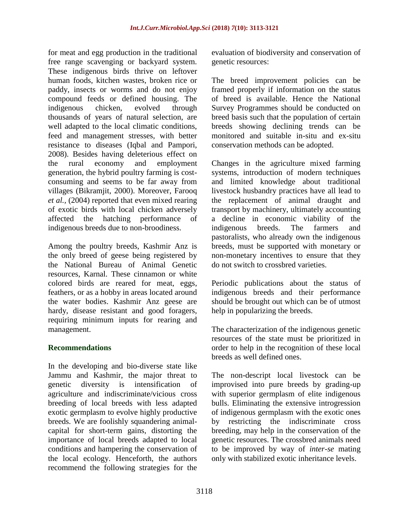for meat and egg production in the traditional free range scavenging or backyard system. These indigenous birds thrive on leftover human foods, kitchen wastes, broken rice or paddy, insects or worms and do not enjoy compound feeds or defined housing. The indigenous chicken, evolved through thousands of years of natural selection, are well adapted to the local climatic conditions, feed and management stresses, with better resistance to diseases (Iqbal and Pampori, 2008). Besides having deleterious effect on the rural economy and employment generation, the hybrid poultry farming is costconsuming and seems to be far away from villages (Bikramjit, 2000). Moreover, Farooq *et al.,* (2004) reported that even mixed rearing of exotic birds with local chicken adversely affected the hatching performance of indigenous breeds due to non-broodiness.

Among the poultry breeds, Kashmir Anz is the only breed of geese being registered by the National Bureau of Animal Genetic resources, Karnal. These cinnamon or white colored birds are reared for meat, eggs, feathers, or as a hobby in areas located around the water bodies. Kashmir Anz geese are hardy, disease resistant and good foragers, requiring minimum inputs for rearing and management.

## **Recommendations**

In the developing and bio-diverse state like Jammu and Kashmir, the major threat to genetic diversity is intensification of agriculture and indiscriminate/vicious cross breeding of local breeds with less adapted exotic germplasm to evolve highly productive breeds. We are foolishly squandering animalcapital for short-term gains, distorting the importance of local breeds adapted to local conditions and hampering the conservation of the local ecology. Henceforth, the authors recommend the following strategies for the evaluation of biodiversity and conservation of genetic resources:

The breed improvement policies can be framed properly if information on the status of breed is available. Hence the National Survey Programmes should be conducted on breed basis such that the population of certain breeds showing declining trends can be monitored and suitable in-situ and ex-situ conservation methods can be adopted.

Changes in the agriculture mixed farming systems, introduction of modern techniques and limited knowledge about traditional livestock husbandry practices have all lead to the replacement of animal draught and transport by machinery, ultimately accounting a decline in economic viability of the indigenous breeds. The farmers and pastoralists, who already own the indigenous breeds, must be supported with monetary or non-monetary incentives to ensure that they do not switch to crossbred varieties.

Periodic publications about the status of indigenous breeds and their performance should be brought out which can be of utmost help in popularizing the breeds.

The characterization of the indigenous genetic resources of the state must be prioritized in order to help in the recognition of these local breeds as well defined ones.

The non-descript local livestock can be improvised into pure breeds by grading-up with superior germplasm of elite indigenous bulls. Eliminating the extensive introgression of indigenous germplasm with the exotic ones by restricting the indiscriminate cross breeding, may help in the conservation of the genetic resources. The crossbred animals need to be improved by way of *inter-se* mating only with stabilized exotic inheritance levels.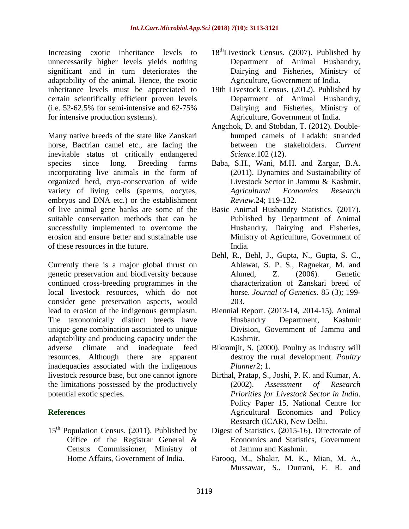Increasing exotic inheritance levels to unnecessarily higher levels yields nothing significant and in turn deteriorates the adaptability of the animal. Hence, the exotic inheritance levels must be appreciated to certain scientifically efficient proven levels (i.e. 52-62.5% for semi-intensive and 62-75% for intensive production systems).

Many native breeds of the state like Zanskari horse, Bactrian camel etc., are facing the inevitable status of critically endangered species since long. Breeding farms incorporating live animals in the form of organized herd, cryo-conservation of wide variety of living cells (sperms, oocytes, embryos and DNA etc.) or the establishment of live animal gene banks are some of the suitable conservation methods that can be successfully implemented to overcome the erosion and ensure better and sustainable use of these resources in the future.

Currently there is a major global thrust on genetic preservation and biodiversity because continued cross-breeding programmes in the local livestock resources, which do not consider gene preservation aspects, would lead to erosion of the indigenous germplasm. The taxonomically distinct breeds have unique gene combination associated to unique adaptability and producing capacity under the adverse climate and inadequate feed resources. Although there are apparent inadequacies associated with the indigenous livestock resource base, but one cannot ignore the limitations possessed by the productively potential exotic species.

# **References**

15<sup>th</sup> Population Census. (2011). Published by Office of the Registrar General & Census Commissioner, Ministry of Home Affairs, Government of India.

- $18<sup>th</sup>$ Livestock Census. (2007). Published by Department of Animal Husbandry, Dairying and Fisheries, Ministry of Agriculture, Government of India.
- 19th Livestock Census. (2012). Published by Department of Animal Husbandry, Dairying and Fisheries, Ministry of Agriculture, Government of India.
- Angchok, D. and Stobdan, T. (2012). Doublehumped camels of Ladakh: stranded between the stakeholders. *Current Science*.102 (12).
- Baba, S.H., Wani, M.H. and Zargar, B.A. (2011). Dynamics and Sustainability of Livestock Sector in Jammu & Kashmir. *Agricultural Economics Research Review.*24; 119-132.
- Basic Animal Husbandry Statistics. (2017). Published by Department of Animal Husbandry, Dairying and Fisheries, Ministry of Agriculture, Government of India.
- Behl, R., Behl, J., Gupta, N., Gupta, S. C., Ahlawat, S. P. S., Ragnekar, M. and Ahmed, Z. (2006). Genetic characterization of Zanskari breed of horse. *Journal of Genetics.* 85 (3); 199- 203.
- Biennial Report. (2013-14, 2014-15). Animal Husbandry Department, Kashmir Division, Government of Jammu and Kashmir.
- Bikramjit, S. (2000). Poultry as industry will destroy the rural development. *Poultry Planner*2; 1.
- Birthal, Pratap, S., Joshi, P. K. and Kumar, A. (2002). *Assessment of Research Priorities for Livestock Sector in India*. Policy Paper 15, National Centre for Agricultural Economics and Policy Research (ICAR), New Delhi.
- Digest of Statistics. (2015-16). Directorate of Economics and Statistics, Government of Jammu and Kashmir.
- Farooq, M., Shakir, M. K., Mian, M. A., Mussawar, S., Durrani, F. R. and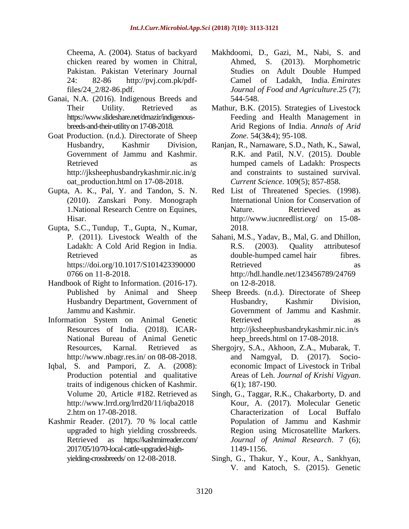Cheema, A. (2004). Status of backyard chicken reared by women in Chitral, Pakistan. Pakistan Veterinary Journal 24: 82-86 [http://pvj.com.pk/pdf](http://pvj.com.pk/pdf-files/24_2/82-86.pdf)[files/24\\_2/82-86.pdf.](http://pvj.com.pk/pdf-files/24_2/82-86.pdf)

- Ganai, N.A. (2016). Indigenous Breeds and Their Utility. Retrieved as [https://www.slideshare.net/drnazir/indigenous](https://www.slideshare.net/drnazir/indigenous-breeds-and-their-utility%20on%2017-08-2018)[breeds-and-their-utility on 17-08-2018.](https://www.slideshare.net/drnazir/indigenous-breeds-and-their-utility%20on%2017-08-2018)
- Goat Production. (n.d.). Directorate of Sheep Husbandry, Kashmir Division, Government of Jammu and Kashmir. Retrieved as as [http://jksheephusbandrykashmir.nic.in/g](http://jksheephusbandrykashmir.nic.in/goat_production.html%20on%2017-08-2018) [oat\\_production.html on 17-08-2018.](http://jksheephusbandrykashmir.nic.in/goat_production.html%20on%2017-08-2018)
- Gupta, A. K., Pal, Y. and Tandon, S. N. (2010). Zanskari Pony. Monograph 1.National Research Centre on Equines, Hisar.
- [Gupta,](https://www.cambridge.org/core/search?filters%5BauthorTerms%5D=S.C.%20Gupta&eventCode=SE-AU) S.C., [Tundup,](https://www.cambridge.org/core/search?filters%5BauthorTerms%5D=T.%20Tundup&eventCode=SE-AU) T., [Gupta,](https://www.cambridge.org/core/search?filters%5BauthorTerms%5D=Neelam%20Gupta&eventCode=SE-AU) N., [Kumar,](https://www.cambridge.org/core/search?filters%5BauthorTerms%5D=Pushpendra%20Kumar&eventCode=SE-AU) P. (2011). Livestock Wealth of the Ladakh: A Cold Arid Region in India. Retrieved as as [https://doi.org/10.1017/S101423390000](https://doi.org/10.1017/S1014233900000766%20%20%20on%2011-8-2018) 0766 [on 11-8-2018.](https://doi.org/10.1017/S1014233900000766%20%20%20on%2011-8-2018)
- Handbook of Right to Information. (2016-17). Published by Animal and Sheep Husbandry Department, Government of Jammu and Kashmir.
- Information System on Animal Genetic Resources of India. (2018). ICAR-National Bureau of Animal Genetic Resources, Karnal. Retrieved as <http://www.nbagr.res.in/> on 08-08-2018.
- Iqbal, S. and Pampori, Z. A. (2008): Production potential and qualitative traits of indigenous chicken of Kashmir*.*  Volume 20, Article #182. Retrieved as [http://www.lrrd.org/lrrd20/11/iqba2018](http://www.lrrd.org/lrrd20/11/iqba20182.htm) [2.htm](http://www.lrrd.org/lrrd20/11/iqba20182.htm) on 17-08-2018.
- Kashmir Reader. (2017). 70 % local cattle upgraded to high yielding crossbreeds. Retrieved as https://kashmirreader.com/ 2017/05/10/70-local-cattle-upgraded-highyielding-crossbreeds/ on 12-08-2018.
- Makhdoomi, D., Gazi, M., Nabi, S. and Ahmed, S. (2013). Morphometric Studies on Adult Double Humped Camel of Ladakh, India. *Emirates Journal of Food and Agriculture*.25 (7); 544-548.
- Mathur, B.K. (2015). Strategies of Livestock Feeding and Health Management in Arid Regions of India. *Annals of Arid Zone*. 54(3&4); 95-108.
- Ranjan, R., Narnaware, S.D., Nath, K., Sawal, R.K. and Patil, N.V. (2015). Double humped camels of Ladakh: Prospects and constraints to sustained survival. *Current Science*. 109(5); 857-858.
- Red List of Threatened Species. (1998). International Union for Conservation of Nature. Retrieved as <http://www.iucnredlist.org/> on 15-08- 2018.
- Sahani, M.S., Yadav, B., Mal, G. and Dhillon, R.S. (2003). [Quality attributesof](http://nopr.niscair.res.in/handle/123456789/24769)  double-humped camel [hair fibres.](http://nopr.niscair.res.in/handle/123456789/24769) Retrieved as as <http://hdl.handle.net/123456789/24769> on 12-8-2018.
- Sheep Breeds. (n.d.). Directorate of Sheep Husbandry, Kashmir Division, Government of Jammu and Kashmir. Retrieved as as [http://jksheephusbandrykashmir.nic.in/s](http://jksheephusbandrykashmir.nic.in/sheep_breeds.html) heep breeds.html on 17-08-2018.
- Shergojry, S.A., Akhoon, Z.A., Mubarak, T. and Namgyal, D. (2017). Socioeconomic Impact of Livestock in Tribal Areas of Leh. *Journal of Krishi Vigyan*. 6(1); 187-190.
- Singh, G., Taggar, R.K., Chakarborty, D. and Kour, A. (2017). Molecular Genetic Characterization of Local Buffalo Population of Jammu and Kashmir Region using Microsatellite Markers*. Journal of Animal Research*. 7 (6); 1149-1156.
- Singh, G., Thakur, Y., Kour, A., Sankhyan, V. and Katoch, S. (2015). Genetic